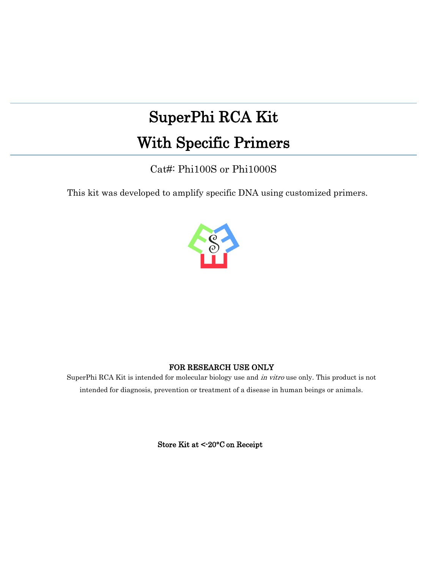# SuperPhi RCA Kit With Specific Primers

Cat#: Phi100S or Phi1000S

This kit was developed to amplify specific DNA using customized primers.



# FOR RESEARCH USE ONLY

SuperPhi RCA Kit is intended for molecular biology use and in vitro use only. This product is not intended for diagnosis, prevention or treatment of a disease in human beings or animals.

Store Kit at <-20°C on Receipt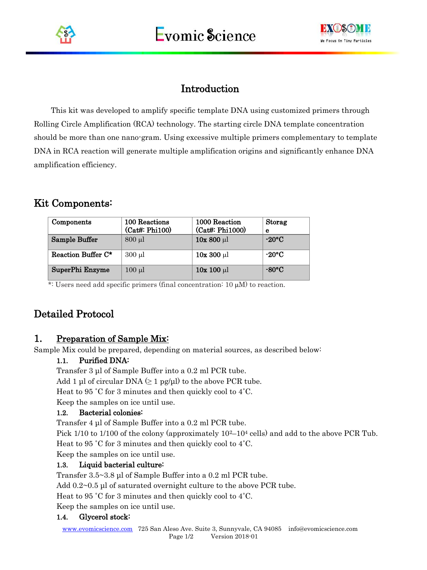



# Introduction

This kit was developed to amplify specific template DNA using customized primers through Rolling Circle Amplification (RCA) technology. The starting circle DNA template concentration should be more than one nano-gram. Using excessive multiple primers complementary to template DNA in RCA reaction will generate multiple amplification origins and significantly enhance DNA amplification efficiency.

# Kit Components:

| Components         | 100 Reactions<br>(Cat#: Phi100) | 1000 Reaction<br>(Cat#: Phi1000) | <b>Storag</b><br>е |
|--------------------|---------------------------------|----------------------------------|--------------------|
| Sample Buffer      | $800 \mu l$                     | $10x800 \mu l$                   | $-20\degree$ C     |
| Reaction Buffer C* | $300 \mu l$                     | $10x300 \mu l$                   | $-20\degree C$     |
| SuperPhi Enzyme    | $100 \mu l$                     | $10x 100 \mu l$                  | $-80^{\circ}$ C    |

\*: Users need add specific primers (final concentration:  $10 \mu M$ ) to reaction.

# Detailed Protocol

# 1. Preparation of Sample Mix:

Sample Mix could be prepared, depending on material sources, as described below:

#### 1.1. Purified DNA:

Transfer 3 μl of Sample Buffer into a 0.2 ml PCR tube.

Add 1 μl of circular DNA  $(≥ 1$  pg/μl) to the above PCR tube.

Heat to 95 ˚C for 3 minutes and then quickly cool to 4˚C.

Keep the samples on ice until use.

#### 1.2. Bacterial colonies:

Transfer 4 μl of Sample Buffer into a 0.2 ml PCR tube.

Pick  $1/10$  to  $1/100$  of the colony (approximately  $10^{2}-10^{4}$  cells) and add to the above PCR Tub.

Heat to 95 ˚C for 3 minutes and then quickly cool to 4˚C.

Keep the samples on ice until use.

#### 1.3. Liquid bacterial culture:

Transfer 3.5~3.8 μl of Sample Buffer into a 0.2 ml PCR tube.

Add 0.2~0.5 μl of saturated overnight culture to the above PCR tube.

Heat to 95 ˚C for 3 minutes and then quickly cool to 4˚C.

Keep the samples on ice until use.

#### 1.4. Glycerol stock: